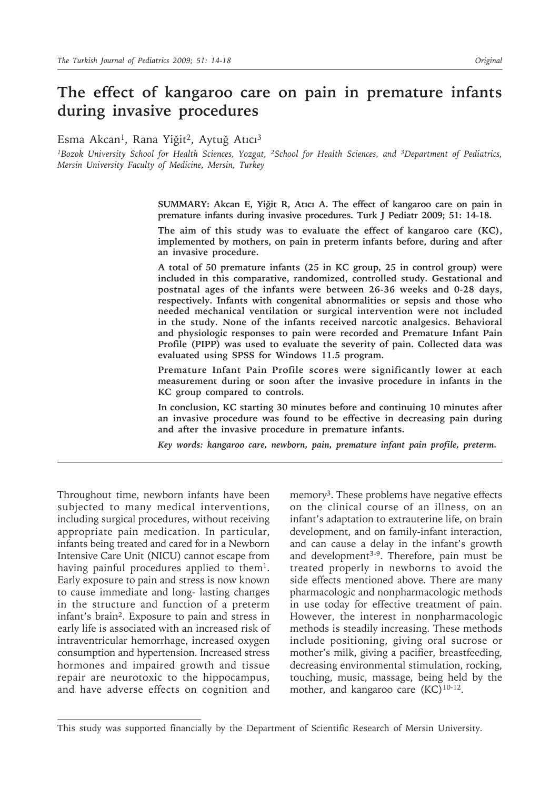# **The effect of kangaroo care on pain in premature infants during invasive procedures**

Esma Akcan<sup>1</sup>, Rana Yiğit<sup>2</sup>, Aytuğ Atıcı<sup>3</sup>

*1Bozok University School for Health Sciences, Yozgat, 2School for Health Sciences, and 3Department of Pediatrics, Mersin University Faculty of Medicine, Mersin, Turkey*

> **SUMMARY: Akcan E, Yiğit R, Atıcı A. The effect of kangaroo care on pain in premature infants during invasive procedures. Turk J Pediatr 2009; 51: 14-18.**

> **The aim of this study was to evaluate the effect of kangaroo care (KC), implemented by mothers, on pain in preterm infants before, during and after an invasive procedure.**

> **A total of 50 premature infants (25 in KC group, 25 in control group) were included in this comparative, randomized, controlled study. Gestational and postnatal ages of the infants were between 26-36 weeks and 0-28 days, respectively. Infants with congenital abnormalities or sepsis and those who needed mechanical ventilation or surgical intervention were not included in the study. None of the infants received narcotic analgesics. Behavioral and physiologic responses to pain were recorded and Premature Infant Pain Profile (PIPP) was used to evaluate the severity of pain. Collected data was evaluated using SPSS for Windows 11.5 program.**

> **Premature Infant Pain Profile scores were significantly lower at each measurement during or soon after the invasive procedure in infants in the KC group compared to controls.**

> **In conclusion, KC starting 30 minutes before and continuing 10 minutes after an invasive procedure was found to be effective in decreasing pain during and after the invasive procedure in premature infants.**

*Key words: kangaroo care, newborn, pain, premature infant pain profile, preterm.*

Throughout time, newborn infants have been subjected to many medical interventions, including surgical procedures, without receiving appropriate pain medication. In particular, infants being treated and cared for in a Newborn Intensive Care Unit (NICU) cannot escape from having painful procedures applied to them<sup>1</sup>. Early exposure to pain and stress is now known to cause immediate and long- lasting changes in the structure and function of a preterm infant's brain2. Exposure to pain and stress in early life is associated with an increased risk of intraventricular hemorrhage, increased oxygen consumption and hypertension. Increased stress hormones and impaired growth and tissue repair are neurotoxic to the hippocampus, and have adverse effects on cognition and

memory<sup>3</sup>. These problems have negative effects on the clinical course of an illness, on an infant's adaptation to extrauterine life, on brain development, and on family-infant interaction, and can cause a delay in the infant's growth and development<sup>3-9</sup>. Therefore, pain must be treated properly in newborns to avoid the side effects mentioned above. There are many pharmacologic and nonpharmacologic methods in use today for effective treatment of pain. However, the interest in nonpharmacologic methods is steadily increasing. These methods include positioning, giving oral sucrose or mother's milk, giving a pacifier, breastfeeding, decreasing environmental stimulation, rocking, touching, music, massage, being held by the mother, and kangaroo care  $(KC)^{10-12}$ .

This study was supported financially by the Department of Scientific Research of Mersin University.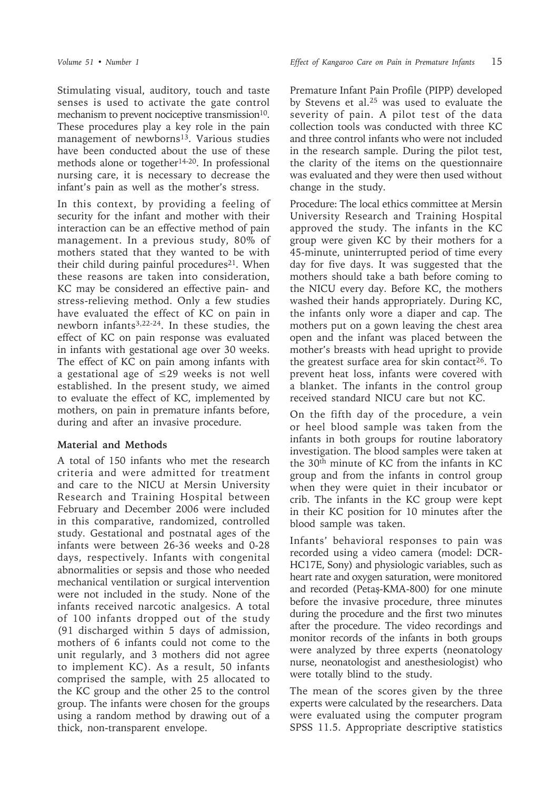Stimulating visual, auditory, touch and taste senses is used to activate the gate control mechanism to prevent nociceptive transmission<sup>10</sup>. These procedures play a key role in the pain management of newborns<sup>13</sup>. Various studies have been conducted about the use of these methods alone or together<sup>14-20</sup>. In professional nursing care, it is necessary to decrease the infant's pain as well as the mother's stress.

In this context, by providing a feeling of security for the infant and mother with their interaction can be an effective method of pain management. In a previous study, 80% of mothers stated that they wanted to be with their child during painful procedures $21$ . When these reasons are taken into consideration, KC may be considered an effective pain- and stress-relieving method. Only a few studies have evaluated the effect of KC on pain in newborn infants3,22-24. In these studies, the effect of KC on pain response was evaluated in infants with gestational age over 30 weeks. The effect of KC on pain among infants with a gestational age of ≤29 weeks is not well established. In the present study, we aimed to evaluate the effect of KC, implemented by mothers, on pain in premature infants before, during and after an invasive procedure.

# **Material and Methods**

A total of 150 infants who met the research criteria and were admitted for treatment and care to the NICU at Mersin University Research and Training Hospital between February and December 2006 were included in this comparative, randomized, controlled study. Gestational and postnatal ages of the infants were between 26-36 weeks and 0-28 days, respectively. Infants with congenital abnormalities or sepsis and those who needed mechanical ventilation or surgical intervention were not included in the study. None of the infants received narcotic analgesics. A total of 100 infants dropped out of the study (91 discharged within 5 days of admission, mothers of 6 infants could not come to the unit regularly, and 3 mothers did not agree to implement KC). As a result, 50 infants comprised the sample, with 25 allocated to the KC group and the other 25 to the control group. The infants were chosen for the groups using a random method by drawing out of a thick, non-transparent envelope.

Premature Infant Pain Profile (PIPP) developed by Stevens et al.25 was used to evaluate the severity of pain. A pilot test of the data collection tools was conducted with three KC and three control infants who were not included in the research sample. During the pilot test, the clarity of the items on the questionnaire was evaluated and they were then used without change in the study.

Procedure: The local ethics committee at Mersin University Research and Training Hospital approved the study. The infants in the KC group were given KC by their mothers for a 45-minute, uninterrupted period of time every day for five days. It was suggested that the mothers should take a bath before coming to the NICU every day. Before KC, the mothers washed their hands appropriately. During KC, the infants only wore a diaper and cap. The mothers put on a gown leaving the chest area open and the infant was placed between the mother's breasts with head upright to provide the greatest surface area for skin contact $26$ . To prevent heat loss, infants were covered with a blanket. The infants in the control group received standard NICU care but not KC.

On the fifth day of the procedure, a vein or heel blood sample was taken from the infants in both groups for routine laboratory investigation. The blood samples were taken at the 30th minute of KC from the infants in KC group and from the infants in control group when they were quiet in their incubator or crib. The infants in the KC group were kept in their KC position for 10 minutes after the blood sample was taken.

Infants' behavioral responses to pain was recorded using a video camera (model: DCR-HC17E, Sony) and physiologic variables, such as heart rate and oxygen saturation, were monitored and recorded (Petaş-KMA-800) for one minute before the invasive procedure, three minutes during the procedure and the first two minutes after the procedure. The video recordings and monitor records of the infants in both groups were analyzed by three experts (neonatology nurse, neonatologist and anesthesiologist) who were totally blind to the study.

The mean of the scores given by the three experts were calculated by the researchers. Data were evaluated using the computer program SPSS 11.5. Appropriate descriptive statistics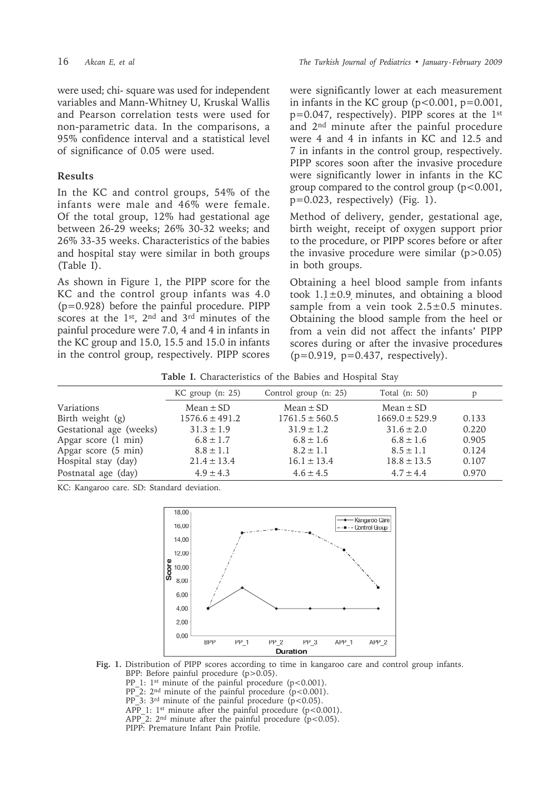were used; chi-square was used for independent variables and Mann-Whitney U, Kruskal Wallis and Pearson correlation tests were used for non-parametric data. In the comparisons, a 95% confidence interval and a statistical level of significance of 0.05 were used.

### **Results**

In the KC and control groups, 54% of the infants were male and 46% were female. Of the total group, 12% had gestational age between 26-29 weeks: 26% 30-32 weeks: and 26% 33-35 weeks. Characteristics of the babies and hospital stay were similar in both groups (Table I).

As shown in Figure 1, the PIPP score for the KC and the control group infants was 4.0  $(p=0.928)$  before the painful procedure. PIPP scores at the 1<sup>st</sup>, 2<sup>nd</sup> and 3<sup>rd</sup> minutes of the painful procedure were 7.0, 4 and 4 in infants in the KC group and 15.0, 15.5 and 15.0 in infants in the control group, respectively. PIPP scores were significantly lower at each measurement in infants in the KC group  $(p<0.001, p=0.001,$  $p=0.047$ , respectively). PIPP scores at the 1<sup>st</sup> and 2<sup>nd</sup> minute after the painful procedure were 4 and 4 in infants in KC and 12.5 and 7 in infants in the control group, respectively. PIPP scores soon after the invasive procedure were significantly lower in infants in the KC group compared to the control group  $(p<0.001$ ,  $p=0.023$ , respectively) (Fig. 1).

Method of delivery, gender, gestational age, birth weight, receipt of oxygen support prior to the procedure, or PIPP scores before or after the invasive procedure were similar  $(p>0.05)$ in both groups.

Obtaining a heel blood sample from infants took  $1.1 \pm 0.9$  minutes, and obtaining a blood sample from a vein took  $2.5 \pm 0.5$  minutes. Obtaining the blood sample from the heel or from a vein did not affect the infants' PIPP scores during or after the invasive procedures  $(p=0.919, p=0.437, respectively).$ 

Table I. Characteristics of the Babies and Hospital Stay

|                         | $KC$ group $(n: 25)$ | Control group $(n: 25)$ | Total $(n: 50)$    | р     |
|-------------------------|----------------------|-------------------------|--------------------|-------|
| Variations              | $Mean \pm SD$        | $Mean \pm SD$           | $Mean \pm SD$      |       |
| Birth weight (g)        | $1576.6 \pm 491.2$   | $1761.5 \pm 560.5$      | $1669.0 \pm 529.9$ | 0.133 |
| Gestational age (weeks) | $31.3 \pm 1.9$       | $31.9 \pm 1.2$          | $31.6 \pm 2.0$     | 0.220 |
| Apgar score (1 min)     | $6.8 \pm 1.7$        | $6.8 \pm 1.6$           | $6.8 \pm 1.6$      | 0.905 |
| Apgar score (5 min)     | $8.8 \pm 1.1$        | $8.2 \pm 1.1$           | $8.5 \pm 1.1$      | 0.124 |
| Hospital stay (day)     | $21.4 \pm 13.4$      | $16.1 \pm 13.4$         | $18.8 \pm 13.5$    | 0.107 |
| Postnatal age (day)     | $4.9 + 4.3$          | $4.6 \pm 4.5$           | $4.7 \pm 4.4$      | 0.970 |

KC: Kangaroo care. SD: Standard deviation.



Fig. 1. Distribution of PIPP scores according to time in kangaroo care and control group infants. BPP: Before painful procedure (p>0.05). PP<sub>1</sub>: 1<sup>st</sup> minute of the painful procedure ( $p$ <0.001). PP\_2: 2<sup>nd</sup> minute of the painful procedure  $(p<0.001)$ .  $PP_3$ : 3<sup>rd</sup> minute of the painful procedure (p<0.05). APP\_1: 1<sup>st</sup> minute after the painful procedure (p<0.001).<br>APP\_2: 2<sup>nd</sup> minute after the painful procedure (p<0.05).

PIPP: Premature Infant Pain Profile.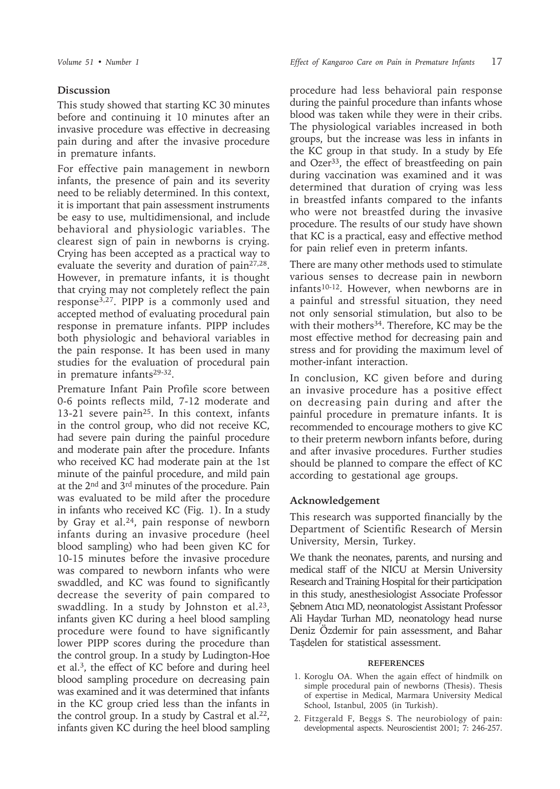### **Discussion**

This study showed that starting KC 30 minutes before and continuing it 10 minutes after an invasive procedure was effective in decreasing pain during and after the invasive procedure in premature infants.

For effective pain management in newborn infants, the presence of pain and its severity need to be reliably determined. In this context, it is important that pain assessment instruments be easy to use, multidimensional, and include behavioral and physiologic variables. The clearest sign of pain in newborns is crying. Crying has been accepted as a practical way to evaluate the severity and duration of pain27,28. However, in premature infants, it is thought that crying may not completely reflect the pain response3,27. PIPP is a commonly used and accepted method of evaluating procedural pain response in premature infants. PIPP includes both physiologic and behavioral variables in the pain response. It has been used in many studies for the evaluation of procedural pain in premature infants29-32.

Premature Infant Pain Profile score between 0-6 points reflects mild, 7-12 moderate and 13-21 severe pain25. In this context, infants in the control group, who did not receive KC, had severe pain during the painful procedure and moderate pain after the procedure. Infants who received KC had moderate pain at the 1st minute of the painful procedure, and mild pain at the  $2<sup>nd</sup>$  and  $3<sup>rd</sup>$  minutes of the procedure. Pain was evaluated to be mild after the procedure in infants who received KC (Fig. 1). In a study by Gray et al.<sup>24</sup>, pain response of newborn infants during an invasive procedure (heel blood sampling) who had been given KC for 10-15 minutes before the invasive procedure was compared to newborn infants who were swaddled, and KC was found to significantly decrease the severity of pain compared to swaddling. In a study by Johnston et al.<sup>23</sup>, infants given KC during a heel blood sampling procedure were found to have significantly lower PIPP scores during the procedure than the control group. In a study by Ludington-Hoe et al.3, the effect of KC before and during heel blood sampling procedure on decreasing pain was examined and it was determined that infants in the KC group cried less than the infants in the control group. In a study by Castral et al.<sup>22</sup>, infants given KC during the heel blood sampling

*Volume 51 • Number 1 Effect of Kangaroo Care on Pain in Premature Infants* 17

procedure had less behavioral pain response during the painful procedure than infants whose blood was taken while they were in their cribs. The physiological variables increased in both groups, but the increase was less in infants in the KC group in that study. In a study by Efe and Ozer33, the effect of breastfeeding on pain during vaccination was examined and it was determined that duration of crying was less in breastfed infants compared to the infants who were not breastfed during the invasive procedure. The results of our study have shown that KC is a practical, easy and effective method for pain relief even in preterm infants.

There are many other methods used to stimulate various senses to decrease pain in newborn infants10-12. However, when newborns are in a painful and stressful situation, they need not only sensorial stimulation, but also to be with their mothers<sup>34</sup>. Therefore, KC may be the most effective method for decreasing pain and stress and for providing the maximum level of mother-infant interaction.

In conclusion, KC given before and during an invasive procedure has a positive effect on decreasing pain during and after the painful procedure in premature infants. It is recommended to encourage mothers to give KC to their preterm newborn infants before, during and after invasive procedures. Further studies should be planned to compare the effect of KC according to gestational age groups.

# **Acknowledgement**

This research was supported financially by the Department of Scientific Research of Mersin University, Mersin, Turkey.

We thank the neonates, parents, and nursing and medical staff of the NICU at Mersin University Research and Training Hospital for their participation in this study, anesthesiologist Associate Professor Şebnem Atıcı MD, neonatologist Assistant Professor Ali Haydar Turhan MD, neonatology head nurse Deniz Özdemir for pain assessment, and Bahar Taşdelen for statistical assessment.

#### **REFERENCES**

- 1. Koroglu OA. When the again effect of hindmilk on simple procedural pain of newborns (Thesis). Thesis of expertise in Medical, Marmara University Medical School, Istanbul, 2005 (in Turkish).
- 2. Fitzgerald F, Beggs S. The neurobiology of pain: developmental aspects. Neuroscientist 2001; 7: 246-257.